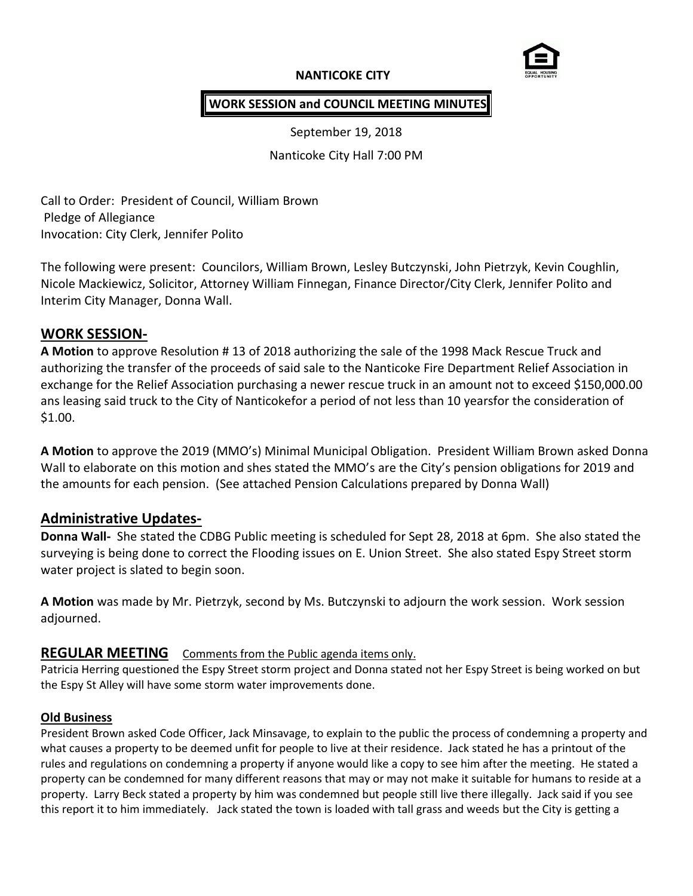# **NANTICOKE CITY**



# **WORK SESSION and COUNCIL MEETING MINUTES**

September 19, 2018

Nanticoke City Hall 7:00 PM

Call to Order: President of Council, William Brown Pledge of Allegiance Invocation: City Clerk, Jennifer Polito

The following were present: Councilors, William Brown, Lesley Butczynski, John Pietrzyk, Kevin Coughlin, Nicole Mackiewicz, Solicitor, Attorney William Finnegan, Finance Director/City Clerk, Jennifer Polito and Interim City Manager, Donna Wall.

# **WORK SESSION-**

**A Motion** to approve Resolution # 13 of 2018 authorizing the sale of the 1998 Mack Rescue Truck and authorizing the transfer of the proceeds of said sale to the Nanticoke Fire Department Relief Association in exchange for the Relief Association purchasing a newer rescue truck in an amount not to exceed \$150,000.00 ans leasing said truck to the City of Nanticokefor a period of not less than 10 yearsfor the consideration of \$1.00.

**A Motion** to approve the 2019 (MMO's) Minimal Municipal Obligation. President William Brown asked Donna Wall to elaborate on this motion and shes stated the MMO's are the City's pension obligations for 2019 and the amounts for each pension. (See attached Pension Calculations prepared by Donna Wall)

# **Administrative Updates-**

**Donna Wall-** She stated the CDBG Public meeting is scheduled for Sept 28, 2018 at 6pm. She also stated the surveying is being done to correct the Flooding issues on E. Union Street. She also stated Espy Street storm water project is slated to begin soon.

**A Motion** was made by Mr. Pietrzyk, second by Ms. Butczynski to adjourn the work session. Work session adjourned.

## **REGULAR MEETING** Comments from the Public agenda items only.

Patricia Herring questioned the Espy Street storm project and Donna stated not her Espy Street is being worked on but the Espy St Alley will have some storm water improvements done.

#### **Old Business**

President Brown asked Code Officer, Jack Minsavage, to explain to the public the process of condemning a property and what causes a property to be deemed unfit for people to live at their residence. Jack stated he has a printout of the rules and regulations on condemning a property if anyone would like a copy to see him after the meeting. He stated a property can be condemned for many different reasons that may or may not make it suitable for humans to reside at a property. Larry Beck stated a property by him was condemned but people still live there illegally. Jack said if you see this report it to him immediately. Jack stated the town is loaded with tall grass and weeds but the City is getting a